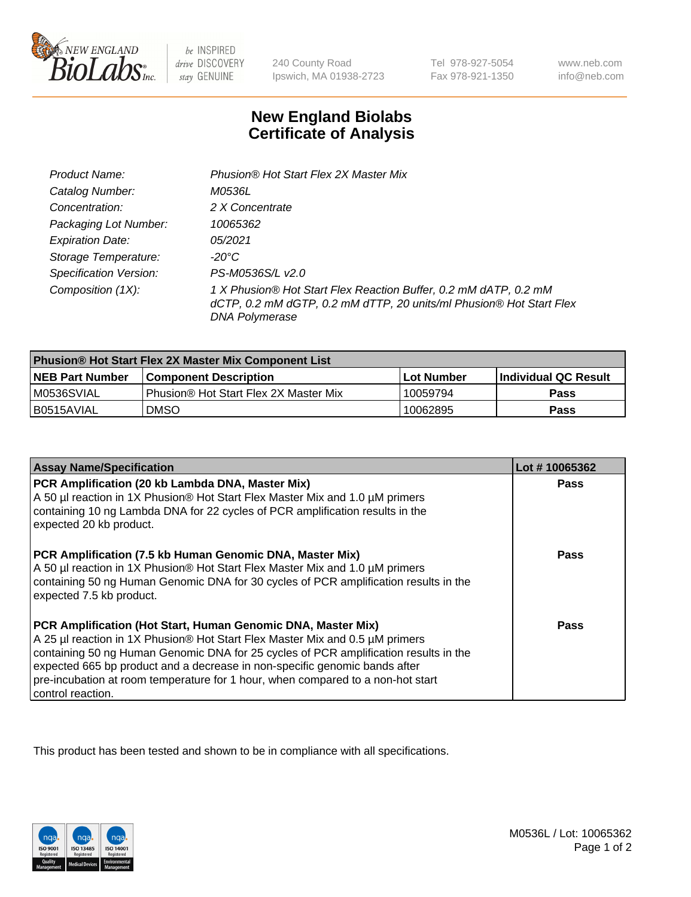

be INSPIRED drive DISCOVERY stay GENUINE

240 County Road Ipswich, MA 01938-2723

Tel 978-927-5054 Fax 978-921-1350

www.neb.com info@neb.com

## **New England Biolabs Certificate of Analysis**

| Product Name:                 | Phusion® Hot Start Flex 2X Master Mix                                                                                                                     |
|-------------------------------|-----------------------------------------------------------------------------------------------------------------------------------------------------------|
| Catalog Number:               | M0536L                                                                                                                                                    |
| Concentration:                | 2 X Concentrate                                                                                                                                           |
| Packaging Lot Number:         | 10065362                                                                                                                                                  |
| <b>Expiration Date:</b>       | 05/2021                                                                                                                                                   |
| Storage Temperature:          | -20°C                                                                                                                                                     |
| <b>Specification Version:</b> | PS-M0536S/L v2.0                                                                                                                                          |
| Composition (1X):             | 1 X Phusion® Hot Start Flex Reaction Buffer, 0.2 mM dATP, 0.2 mM<br>dCTP, 0.2 mM dGTP, 0.2 mM dTTP, 20 units/ml Phusion® Hot Start Flex<br>DNA Polymerase |

| <b>Phusion® Hot Start Flex 2X Master Mix Component List</b> |                                       |            |                             |  |
|-------------------------------------------------------------|---------------------------------------|------------|-----------------------------|--|
| <b>NEB Part Number</b>                                      | l Component Description               | Lot Number | <b>Individual QC Result</b> |  |
| M0536SVIAL                                                  | Phusion® Hot Start Flex 2X Master Mix | 10059794   | Pass                        |  |
| I B0515AVIAL                                                | <b>DMSO</b>                           | 10062895   | <b>Pass</b>                 |  |

| <b>Assay Name/Specification</b>                                                                                                                                                                                                                                                                                                                                                                                            | Lot #10065362 |
|----------------------------------------------------------------------------------------------------------------------------------------------------------------------------------------------------------------------------------------------------------------------------------------------------------------------------------------------------------------------------------------------------------------------------|---------------|
| PCR Amplification (20 kb Lambda DNA, Master Mix)<br>A 50 µl reaction in 1X Phusion® Hot Start Flex Master Mix and 1.0 µM primers<br>containing 10 ng Lambda DNA for 22 cycles of PCR amplification results in the<br>expected 20 kb product.                                                                                                                                                                               | <b>Pass</b>   |
| PCR Amplification (7.5 kb Human Genomic DNA, Master Mix)<br>A 50 µl reaction in 1X Phusion® Hot Start Flex Master Mix and 1.0 µM primers<br>containing 50 ng Human Genomic DNA for 30 cycles of PCR amplification results in the<br>expected 7.5 kb product.                                                                                                                                                               | <b>Pass</b>   |
| PCR Amplification (Hot Start, Human Genomic DNA, Master Mix)<br>A 25 µl reaction in 1X Phusion® Hot Start Flex Master Mix and 0.5 µM primers<br>containing 50 ng Human Genomic DNA for 25 cycles of PCR amplification results in the<br>expected 665 bp product and a decrease in non-specific genomic bands after<br>pre-incubation at room temperature for 1 hour, when compared to a non-hot start<br>control reaction. | Pass          |

This product has been tested and shown to be in compliance with all specifications.